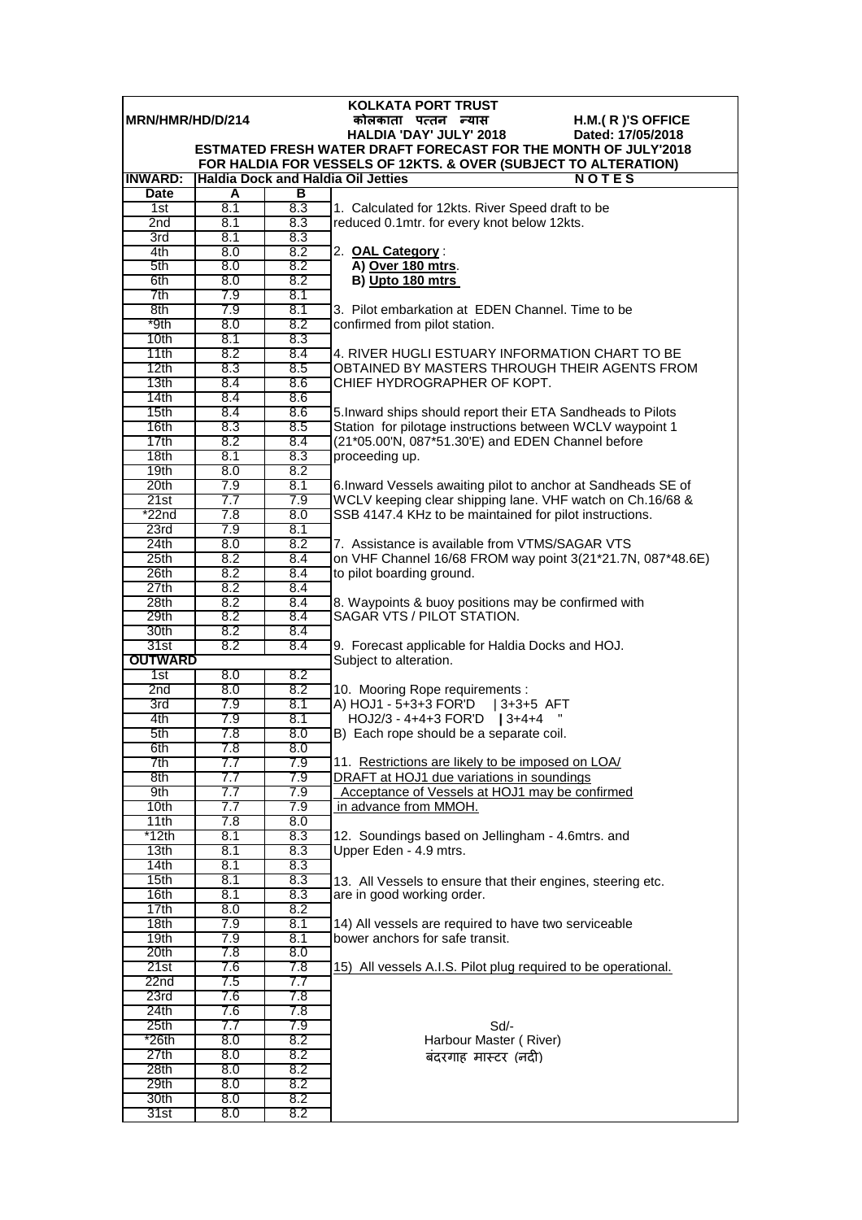| <b>KOLKATA PORT TRUST</b> |            |            |                                                                                                                              |  |  |
|---------------------------|------------|------------|------------------------------------------------------------------------------------------------------------------------------|--|--|
| MRN/HMR/HD/D/214          |            |            | कोलकाता पत्तन न्यास<br>H.M.(R)'S OFFICE                                                                                      |  |  |
|                           |            |            | HALDIA 'DAY' JULY' 2018<br>Dated: 17/05/2018                                                                                 |  |  |
|                           |            |            | <b>ESTMATED FRESH WATER DRAFT FORECAST FOR THE MONTH OF JULY'2018</b>                                                        |  |  |
| <b>INWARD:</b>            |            |            | FOR HALDIA FOR VESSELS OF 12KTS. & OVER (SUBJECT TO ALTERATION)<br><b>Haldia Dock and Haldia Oil Jetties</b><br><b>NOTES</b> |  |  |
| <b>Date</b>               | A          | в          |                                                                                                                              |  |  |
| 1st                       | 8.1        | 8.3        | 1. Calculated for 12kts. River Speed draft to be                                                                             |  |  |
| 2 <sub>nd</sub>           | 8.1        | 8.3        | reduced 0.1mtr. for every knot below 12kts.                                                                                  |  |  |
| 3rd                       | 8.1        | 8.3        |                                                                                                                              |  |  |
| 4th                       | 8.0        | 8.2        | 2. OAL Category:                                                                                                             |  |  |
| 5th                       | 8.0        | 8.2        | A) Over 180 mtrs.                                                                                                            |  |  |
| 6th                       | 8.0        | 8.2        | B) Upto 180 mtrs                                                                                                             |  |  |
| 7th                       | 7.9        | 8.1        |                                                                                                                              |  |  |
| 8th                       | 7.9        | 8.1        | 3. Pilot embarkation at EDEN Channel. Time to be                                                                             |  |  |
| *9th                      | 8.0        | 8.2        | confirmed from pilot station.                                                                                                |  |  |
| 10 <sub>th</sub>          | 8.1        | 8.3        |                                                                                                                              |  |  |
| 11th                      | 8.2        | 8.4        | 4. RIVER HUGLI ESTUARY INFORMATION CHART TO BE                                                                               |  |  |
| 12th                      | 8.3        | 8.5        | OBTAINED BY MASTERS THROUGH THEIR AGENTS FROM                                                                                |  |  |
| 13 <sub>th</sub>          | 8.4<br>8.4 | 8.6        | CHIEF HYDROGRAPHER OF KOPT.                                                                                                  |  |  |
| 14th<br>15th              | 8.4        | 8.6<br>8.6 | 5. Inward ships should report their ETA Sandheads to Pilots                                                                  |  |  |
| 16th                      | 8.3        | 8.5        | Station for pilotage instructions between WCLV waypoint 1                                                                    |  |  |
| 17th                      | 8.2        | 8.4        | (21*05.00'N, 087*51.30'E) and EDEN Channel before                                                                            |  |  |
| 18 <sub>th</sub>          | 8.1        | 8.3        | proceeding up.                                                                                                               |  |  |
| 19th                      | 8.0        | 8.2        |                                                                                                                              |  |  |
| 20th                      | 7.9        | 8.1        | 6. Inward Vessels awaiting pilot to anchor at Sandheads SE of                                                                |  |  |
| 21st                      | 7.7        | 7.9        | WCLV keeping clear shipping lane. VHF watch on Ch.16/68 &                                                                    |  |  |
| $*22n$ d                  | 7.8        | 8.0        | SSB 4147.4 KHz to be maintained for pilot instructions.                                                                      |  |  |
| 23rd                      | 7.9        | 8.1        |                                                                                                                              |  |  |
| 24th                      | 8.0        | 8.2        | 7. Assistance is available from VTMS/SAGAR VTS                                                                               |  |  |
| 25th                      | 8.2        | 8.4        | on VHF Channel 16/68 FROM way point 3(21*21.7N, 087*48.6E)                                                                   |  |  |
| 26th                      | 8.2        | 8.4        | to pilot boarding ground.                                                                                                    |  |  |
| 27th                      | 8.2        | 8.4        |                                                                                                                              |  |  |
| 28th                      | 8.2        | 8.4        | 8. Waypoints & buoy positions may be confirmed with                                                                          |  |  |
| 29th<br>30th              | 8.2<br>8.2 | 8.4<br>8.4 | SAGAR VTS / PILOT STATION.                                                                                                   |  |  |
| 31st                      | 8.2        | 8.4        | 9. Forecast applicable for Haldia Docks and HOJ.                                                                             |  |  |
| <b>OUTWARD</b>            |            |            | Subject to alteration.                                                                                                       |  |  |
| 1st<br>8.0<br>8.2         |            |            |                                                                                                                              |  |  |
| 2nd                       | 8.0        | 8.2        | 10. Mooring Rope requirements :                                                                                              |  |  |
| 3rd                       | 7.9        | 8.1        | A) HOJ1 - 5+3+3 FOR'D   3+3+5 AFT                                                                                            |  |  |
| 4th                       | 7.9        | 8.1        | $HOJ2/3 - 4 + 4 + 3$ FOR'D   3+4+4                                                                                           |  |  |
| 5th                       | 7.8        | 8.0        | B) Each rope should be a separate coil.                                                                                      |  |  |
| 6th                       | 7.8        | 8.0        |                                                                                                                              |  |  |
| 7th                       | 7.7        | 7.9        | 11. Restrictions are likely to be imposed on LOA/                                                                            |  |  |
| 8th                       | 7.7        | 7.9        | DRAFT at HOJ1 due variations in soundings                                                                                    |  |  |
| 9th<br>10th               | 7.7<br>7.7 | 7.9<br>7.9 | Acceptance of Vessels at HOJ1 may be confirmed<br>in advance from MMOH.                                                      |  |  |
| 11th                      | 7.8        | 8.0        |                                                                                                                              |  |  |
| *12th                     | 8.1        | 8.3        | 12. Soundings based on Jellingham - 4.6mtrs. and                                                                             |  |  |
| 13 <sub>th</sub>          | 8.1        | 8.3        | Upper Eden - 4.9 mtrs.                                                                                                       |  |  |
| 14th                      | 8.1        | 8.3        |                                                                                                                              |  |  |
| 15th                      | 8.1        | 8.3        | 13. All Vessels to ensure that their engines, steering etc.                                                                  |  |  |
| 16th                      | 8.1        | 8.3        | are in good working order.                                                                                                   |  |  |
| 17th                      | 8.0        | 8.2        |                                                                                                                              |  |  |
| 18th                      | 7.9        | 8.1        | 14) All vessels are required to have two serviceable                                                                         |  |  |
| 19th                      | 7.9        | 8.1        | bower anchors for safe transit.                                                                                              |  |  |
| 20th                      | 7.8        | 8.0        |                                                                                                                              |  |  |
| 21st                      | 7.6        | 7.8        | 15) All vessels A.I.S. Pilot plug required to be operational.                                                                |  |  |
| 22nd<br>23rd              | 7.5<br>7.6 | 7.7<br>7.8 |                                                                                                                              |  |  |
| 24th                      | 7.6        | 7.8        |                                                                                                                              |  |  |
| 25th                      | 7.7        | 7.9        | Sd/-                                                                                                                         |  |  |
| $*26th$                   | 8.0        | 8.2        | Harbour Master (River)                                                                                                       |  |  |
| 27th                      | 8.0        | 8.2        | बंदरगाह मास्टर (नदी)                                                                                                         |  |  |
| 28th                      | 8.0        | 8.2        |                                                                                                                              |  |  |
| 29th                      | 8.0        | 8.2        |                                                                                                                              |  |  |
| 30th                      | 8.0        | 8.2        |                                                                                                                              |  |  |
| 31st                      | 8.0        | 8.2        |                                                                                                                              |  |  |